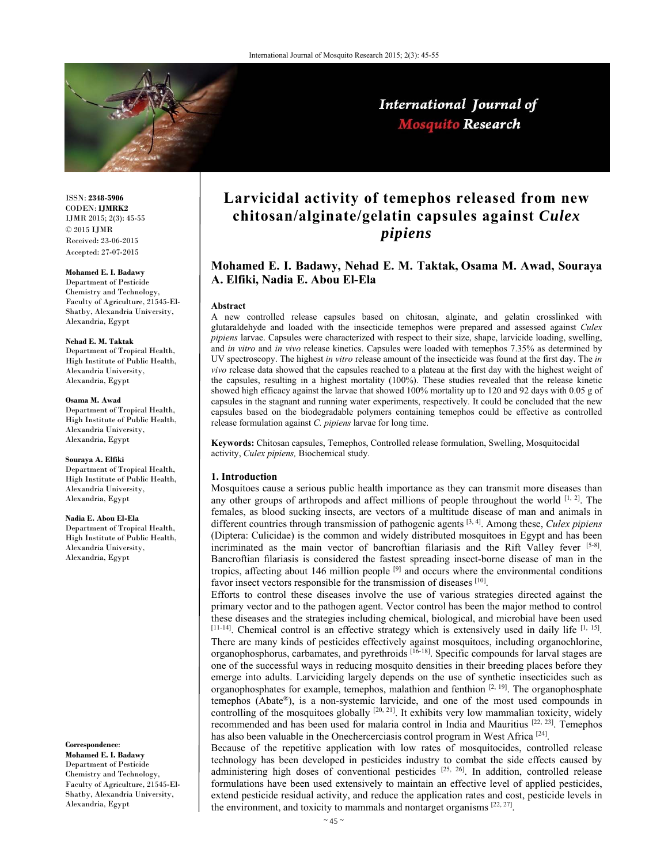

# International Journal of Mosquito Research

ISSN: **2348-5906** CODEN: **IJMRK2** IJMR 2015; 2(3): 45-55 © 2015 IJMR Received: 23-06-2015 Accepted: 27-07-2015

# **Mohamed E. I. Badawy**

Department of Pesticide Chemistry and Technology, Faculty of Agriculture, 21545-El-Shatby, Alexandria University, Alexandria, Egypt

#### **Nehad E. M. Taktak**

Department of Tropical Health, High Institute of Public Health, Alexandria University, Alexandria, Egypt

#### **Osama M. Awad**

Department of Tropical Health, High Institute of Public Health, Alexandria University, Alexandria, Egypt

#### **Souraya A. Elfiki**

Department of Tropical Health, High Institute of Public Health, Alexandria University, Alexandria, Egypt

#### **Nadia E. Abou El-Ela**

Department of Tropical Health, High Institute of Public Health, Alexandria University, Alexandria, Egypt

#### **Correspondence**:

**Mohamed E. I. Badawy**  Department of Pesticide Chemistry and Technology, Faculty of Agriculture, 21545-El-Shatby, Alexandria University, Alexandria, Egypt

# **Larvicidal activity of temephos released from new chitosan/alginate/gelatin capsules against** *Culex pipiens*

# **Mohamed E. I. Badawy, Nehad E. M. Taktak, Osama M. Awad, Souraya A. Elfiki, Nadia E. Abou El-Ela**

#### **Abstract**

A new controlled release capsules based on chitosan, alginate, and gelatin crosslinked with glutaraldehyde and loaded with the insecticide temephos were prepared and assessed against *Culex pipiens* larvae. Capsules were characterized with respect to their size, shape, larvicide loading, swelling, and *in vitro* and *in vivo* release kinetics. Capsules were loaded with temephos 7.35% as determined by UV spectroscopy. The highest *in vitro* release amount of the insecticide was found at the first day. The *in vivo* release data showed that the capsules reached to a plateau at the first day with the highest weight of the capsules, resulting in a highest mortality (100%). These studies revealed that the release kinetic showed high efficacy against the larvae that showed 100% mortality up to 120 and 92 days with 0.05 g of capsules in the stagnant and running water experiments, respectively. It could be concluded that the new capsules based on the biodegradable polymers containing temephos could be effective as controlled release formulation against *C. pipiens* larvae for long time.

**Keywords:** Chitosan capsules, Temephos, Controlled release formulation, Swelling, Mosquitocidal activity, *Culex pipiens,* Biochemical study.

#### **1. Introduction**

Mosquitoes cause a serious public health importance as they can transmit more diseases than any other groups of arthropods and affect millions of people throughout the world  $[1, 2]$ . The females, as blood sucking insects, are vectors of a multitude disease of man and animals in different countries through transmission of pathogenic agents [3, 4]. Among these, *Culex pipiens* (Diptera: Culicidae) is the common and widely distributed mosquitoes in Egypt and has been incriminated as the main vector of bancroftian filariasis and the Rift Valley fever  $[5-8]$ . Bancroftian filariasis is considered the fastest spreading insect-borne disease of man in the tropics, affecting about 146 million people [9] and occurs where the environmental conditions favor insect vectors responsible for the transmission of diseases [10].

Efforts to control these diseases involve the use of various strategies directed against the primary vector and to the pathogen agent. Vector control has been the major method to control these diseases and the strategies including chemical, biological, and microbial have been used [11-14]. Chemical control is an effective strategy which is extensively used in daily life [1, 15]. There are many kinds of pesticides effectively against mosquitoes, including organochlorine, organophosphorus, carbamates, and pyrethroids [16-18]. Specific compounds for larval stages are one of the successful ways in reducing mosquito densities in their breeding places before they emerge into adults. Larviciding largely depends on the use of synthetic insecticides such as organophosphates for example, temephos, malathion and fenthion  $[2, 19]$ . The organophosphate temephos (Abate®), is a non-systemic larvicide, and one of the most used compounds in controlling of the mosquitoes globally  $[20, 21]$ . It exhibits very low mammalian toxicity, widely recommended and has been used for malaria control in India and Mauritius [22, 23]. Temephos has also been valuable in the Onechercerciasis control program in West Africa<sup>[24]</sup>.

Because of the repetitive application with low rates of mosquitocides, controlled release technology has been developed in pesticides industry to combat the side effects caused by administering high doses of conventional pesticides  $[25, 26]$ . In addition, controlled release formulations have been used extensively to maintain an effective level of applied pesticides, extend pesticide residual activity, and reduce the application rates and cost, pesticide levels in the environment, and toxicity to mammals and nontarget organisms  $[22, 27]$ .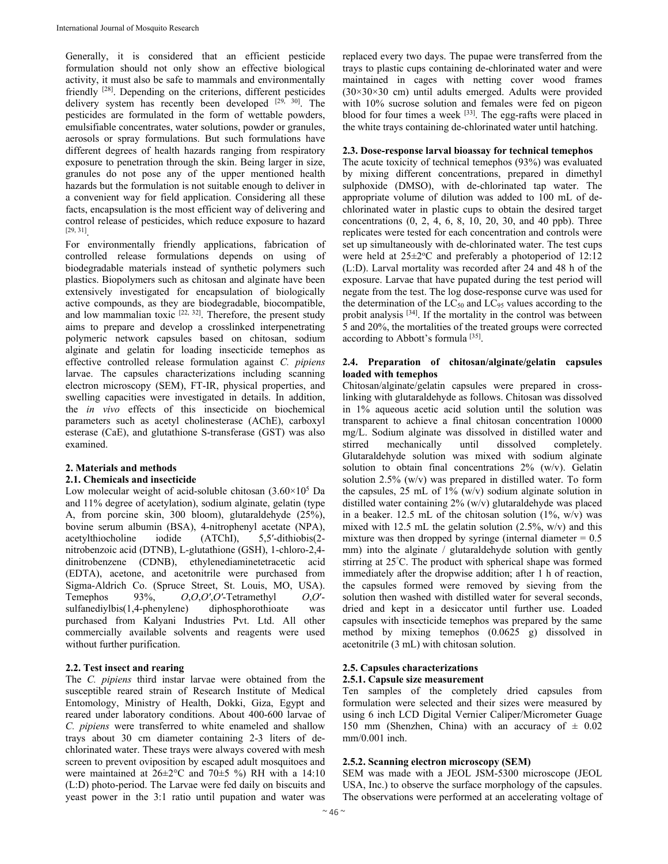Generally, it is considered that an efficient pesticide formulation should not only show an effective biological activity, it must also be safe to mammals and environmentally friendly [28]. Depending on the criterions, different pesticides delivery system has recently been developed [29, 30]. The pesticides are formulated in the form of wettable powders, emulsifiable concentrates, water solutions, powder or granules, aerosols or spray formulations. But such formulations have different degrees of health hazards ranging from respiratory exposure to penetration through the skin. Being larger in size, granules do not pose any of the upper mentioned health hazards but the formulation is not suitable enough to deliver in a convenient way for field application. Considering all these facts, encapsulation is the most efficient way of delivering and control release of pesticides, which reduce exposure to hazard [29, 31].

For environmentally friendly applications, fabrication of controlled release formulations depends on using of biodegradable materials instead of synthetic polymers such plastics. Biopolymers such as chitosan and alginate have been extensively investigated for encapsulation of biologically active compounds, as they are biodegradable, biocompatible, and low mammalian toxic  $[22, 32]$ . Therefore, the present study aims to prepare and develop a crosslinked interpenetrating polymeric network capsules based on chitosan, sodium alginate and gelatin for loading insecticide temephos as effective controlled release formulation against *C. pipiens* larvae. The capsules characterizations including scanning electron microscopy (SEM), FT-IR, physical properties, and swelling capacities were investigated in details. In addition, the *in vivo* effects of this insecticide on biochemical parameters such as acetyl cholinesterase (AChE), carboxyl esterase (CaE), and glutathione S-transferase (GST) was also examined.

# **2. Materials and methods**

# **2.1. Chemicals and insecticide**

Low molecular weight of acid-soluble chitosan  $(3.60 \times 10^5 \text{ Da})$ and 11% degree of acetylation), sodium alginate, gelatin (type A, from porcine skin, 300 bloom), glutaraldehyde (25%), bovine serum albumin (BSA), 4-nitrophenyl acetate (NPA), acetylthiocholine iodide (ATChI), 5,5′-dithiobis(2 nitrobenzoic acid (DTNB), L-glutathione (GSH), 1-chloro-2,4 dinitrobenzene (CDNB), ethylenediaminetetracetic acid (EDTA), acetone, and acetonitrile were purchased from Sigma-Aldrich Co. (Spruce Street, St. Louis, MO, USA). Temephos 93%, *O*,*O*,*O′*,*O′*-Tetramethyl *O*,*O*′ sulfanediylbis(1,4-phenylene) diphosphorothioate was purchased from Kalyani Industries Pvt. Ltd. All other commercially available solvents and reagents were used without further purification.

# **2.2. Test insect and rearing**

The *C. pipiens* third instar larvae were obtained from the susceptible reared strain of Research Institute of Medical Entomology, Ministry of Health, Dokki, Giza, Egypt and reared under laboratory conditions. About 400-600 larvae of *C. pipiens* were transferred to white enameled and shallow trays about 30 cm diameter containing 2-3 liters of dechlorinated water. These trays were always covered with mesh screen to prevent oviposition by escaped adult mosquitoes and were maintained at 26±2°C and 70±5 %) RH with a 14:10 (L:D) photo-period. The Larvae were fed daily on biscuits and yeast power in the 3:1 ratio until pupation and water was

replaced every two days. The pupae were transferred from the trays to plastic cups containing de-chlorinated water and were maintained in cages with netting cover wood frames  $(30\times30\times30$  cm) until adults emerged. Adults were provided with 10% sucrose solution and females were fed on pigeon blood for four times a week  $[33]$ . The egg-rafts were placed in the white trays containing de-chlorinated water until hatching.

# **2.3. Dose-response larval bioassay for technical temephos**

The acute toxicity of technical temephos (93%) was evaluated by mixing different concentrations, prepared in dimethyl sulphoxide (DMSO), with de-chlorinated tap water. The appropriate volume of dilution was added to 100 mL of dechlorinated water in plastic cups to obtain the desired target concentrations (0, 2, 4, 6, 8, 10, 20, 30, and 40 ppb). Three replicates were tested for each concentration and controls were set up simultaneously with de-chlorinated water. The test cups were held at  $25 \pm 2$ <sup>o</sup>C and preferably a photoperiod of 12:12 (L:D). Larval mortality was recorded after 24 and 48 h of the exposure. Larvae that have pupated during the test period will negate from the test. The log dose-response curve was used for the determination of the  $LC_{50}$  and  $LC_{95}$  values according to the probit analysis [34]. If the mortality in the control was between 5 and 20%, the mortalities of the treated groups were corrected according to Abbott's formula [35].

## **2.4. Preparation of chitosan/alginate/gelatin capsules loaded with temephos**

Chitosan/alginate/gelatin capsules were prepared in crosslinking with glutaraldehyde as follows. Chitosan was dissolved in 1% aqueous acetic acid solution until the solution was transparent to achieve a final chitosan concentration 10000 mg/L. Sodium alginate was dissolved in distilled water and stirred mechanically until dissolved completely. Glutaraldehyde solution was mixed with sodium alginate solution to obtain final concentrations 2% (w/v). Gelatin solution 2.5% (w/v) was prepared in distilled water. To form the capsules,  $25 \text{ mL of } 1\%$  (w/v) sodium alginate solution in distilled water containing 2% (w/v) glutaraldehyde was placed in a beaker. 12.5 mL of the chitosan solution  $(1\%, w/v)$  was mixed with 12.5 mL the gelatin solution  $(2.5\%, w/v)$  and this mixture was then dropped by syringe (internal diameter  $= 0.5$ ) mm) into the alginate / glutaraldehyde solution with gently stirring at 25° C. The product with spherical shape was formed immediately after the dropwise addition; after 1 h of reaction, the capsules formed were removed by sieving from the solution then washed with distilled water for several seconds, dried and kept in a desiccator until further use. Loaded capsules with insecticide temephos was prepared by the same method by mixing temephos (0.0625 g) dissolved in acetonitrile (3 mL) with chitosan solution.

# **2.5. Capsules characterizations**

# **2.5.1. Capsule size measurement**

Ten samples of the completely dried capsules from formulation were selected and their sizes were measured by using 6 inch LCD Digital Vernier Caliper/Micrometer Guage 150 mm (Shenzhen, China) with an accuracy of  $\pm$  0.02 mm/0.001 inch.

# **2.5.2. Scanning electron microscopy (SEM)**

SEM was made with a JEOL JSM-5300 microscope (JEOL USA, Inc.) to observe the surface morphology of the capsules. The observations were performed at an accelerating voltage of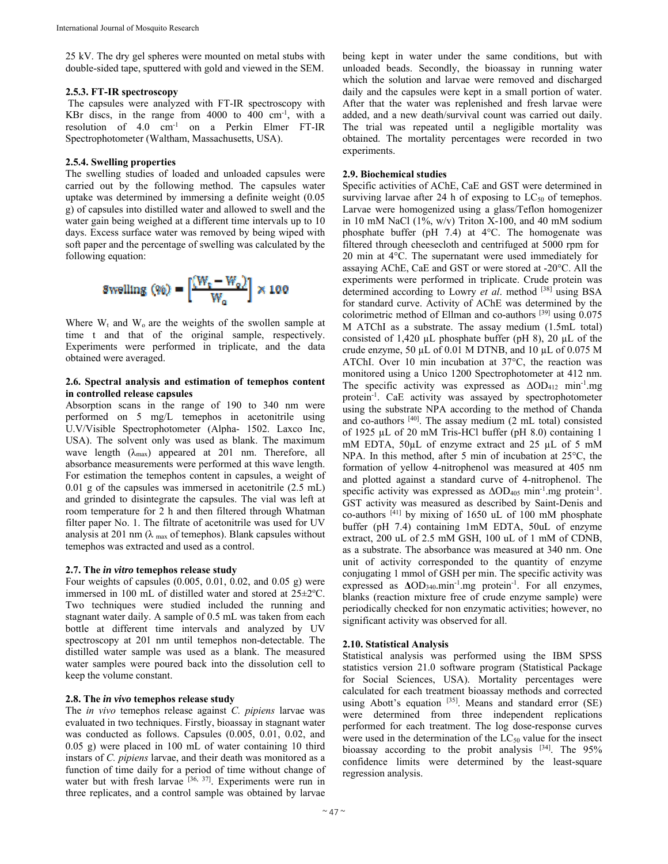25 kV. The dry gel spheres were mounted on metal stubs with double-sided tape, sputtered with gold and viewed in the SEM.

#### **2.5.3. FT-IR spectroscopy**

 The capsules were analyzed with FT-IR spectroscopy with KBr discs, in the range from  $4000$  to  $400 \text{ cm}^{-1}$ , with a resolution of 4.0 cm-1 on a Perkin Elmer FT-IR Spectrophotometer (Waltham, Massachusetts, USA).

## **2.5.4. Swelling properties**

The swelling studies of loaded and unloaded capsules were carried out by the following method. The capsules water uptake was determined by immersing a definite weight (0.05 g) of capsules into distilled water and allowed to swell and the water gain being weighed at a different time intervals up to 10 days. Excess surface water was removed by being wiped with soft paper and the percentage of swelling was calculated by the following equation:



Where  $W_t$  and  $W_0$  are the weights of the swollen sample at time t and that of the original sample, respectively. Experiments were performed in triplicate, and the data obtained were averaged.

#### **2.6. Spectral analysis and estimation of temephos content in controlled release capsules**

Absorption scans in the range of 190 to 340 nm were performed on 5 mg/L temephos in acetonitrile using U.V/Visible Spectrophotometer (Alpha- 1502. Laxco Inc, USA). The solvent only was used as blank. The maximum wave length  $(\lambda_{\text{max}})$  appeared at 201 nm. Therefore, all absorbance measurements were performed at this wave length. For estimation the temephos content in capsules, a weight of 0.01 g of the capsules was immersed in acetonitrile (2.5 mL) and grinded to disintegrate the capsules. The vial was left at room temperature for 2 h and then filtered through Whatman filter paper No. 1. The filtrate of acetonitrile was used for UV analysis at 201 nm ( $\lambda$  max of temephos). Blank capsules without temephos was extracted and used as a control.

# **2.7. The** *in vitro* **temephos release study**

Four weights of capsules (0.005, 0.01, 0.02, and 0.05 g) were immersed in 100 mL of distilled water and stored at  $25 \pm 2$ °C. Two techniques were studied included the running and stagnant water daily. A sample of 0.5 mL was taken from each bottle at different time intervals and analyzed by UV spectroscopy at 201 nm until temephos non-detectable. The distilled water sample was used as a blank. The measured water samples were poured back into the dissolution cell to keep the volume constant.

#### **2.8. The** *in vivo* **temephos release study**

The *in vivo* temephos release against *C. pipiens* larvae was evaluated in two techniques. Firstly, bioassay in stagnant water was conducted as follows. Capsules (0.005, 0.01, 0.02, and 0.05 g) were placed in 100 mL of water containing 10 third instars of *C. pipiens* larvae, and their death was monitored as a function of time daily for a period of time without change of water but with fresh larvae [36, 37]. Experiments were run in three replicates, and a control sample was obtained by larvae

being kept in water under the same conditions, but with unloaded beads. Secondly, the bioassay in running water which the solution and larvae were removed and discharged daily and the capsules were kept in a small portion of water. After that the water was replenished and fresh larvae were added, and a new death/survival count was carried out daily. The trial was repeated until a negligible mortality was obtained. The mortality percentages were recorded in two experiments.

## **2.9. Biochemical studies**

Specific activities of AChE, CaE and GST were determined in surviving larvae after 24 h of exposing to  $LC_{50}$  of temephos. Larvae were homogenized using a glass/Teflon homogenizer in 10 mM NaCl  $(1\%, w/v)$  Triton X-100, and 40 mM sodium phosphate buffer (pH  $7.4$ ) at  $4^{\circ}$ C. The homogenate was filtered through cheesecloth and centrifuged at 5000 rpm for 20 min at 4°C. The supernatant were used immediately for assaying AChE, CaE and GST or were stored at -20°C. All the experiments were performed in triplicate. Crude protein was determined according to Lowry *et al.* method <sup>[38]</sup> using BSA for standard curve. Activity of AChE was determined by the colorimetric method of Ellman and co-authors [39] using 0.075 M ATChI as a substrate. The assay medium (1.5mL total) consisted of 1,420  $\mu$ L phosphate buffer (pH 8), 20  $\mu$ L of the crude enzyme, 50 µL of 0.01 M DTNB, and 10 µL of 0.075 M ATChI. Over 10 min incubation at 37°C, the reaction was monitored using a Unico 1200 Spectrophotometer at 412 nm. The specific activity was expressed as  $\Delta OD_{412}$  min<sup>-1</sup>.mg protein-1. CaE activity was assayed by spectrophotometer using the substrate NPA according to the method of Chanda and co-authors  $[40]$ . The assay medium (2 mL total) consisted of 1925 µL of 20 mM Tris-HCl buffer (pH 8.0) containing 1 mM EDTA, 50µL of enzyme extract and 25 µL of 5 mM NPA. In this method, after 5 min of incubation at 25°C, the formation of yellow 4-nitrophenol was measured at 405 nm and plotted against a standard curve of 4-nitrophenol. The specific activity was expressed as  $\Delta OD_{405}$  min<sup>-1</sup>.mg protein<sup>-1</sup>. GST activity was measured as described by Saint-Denis and co-authors  $[41]$  by mixing of 1650 uL of 100 mM phosphate buffer (pH 7.4) containing 1mM EDTA, 50uL of enzyme extract, 200 uL of 2.5 mM GSH, 100 uL of 1 mM of CDNB, as a substrate. The absorbance was measured at 340 nm. One unit of activity corresponded to the quantity of enzyme conjugating 1 mmol of GSH per min. The specific activity was expressed as **Δ**OD340.min-1.mg protein-1. For all enzymes, blanks (reaction mixture free of crude enzyme sample) were periodically checked for non enzymatic activities; however, no significant activity was observed for all.

# **2.10. Statistical Analysis**

Statistical analysis was performed using the IBM SPSS statistics version 21.0 software program (Statistical Package for Social Sciences, USA). Mortality percentages were calculated for each treatment bioassay methods and corrected using Abott's equation  $[35]$ . Means and standard error (SE) were determined from three independent replications performed for each treatment. The log dose-response curves were used in the determination of the  $LC_{50}$  value for the insect bioassay according to the probit analysis [34]. The 95% confidence limits were determined by the least-square regression analysis.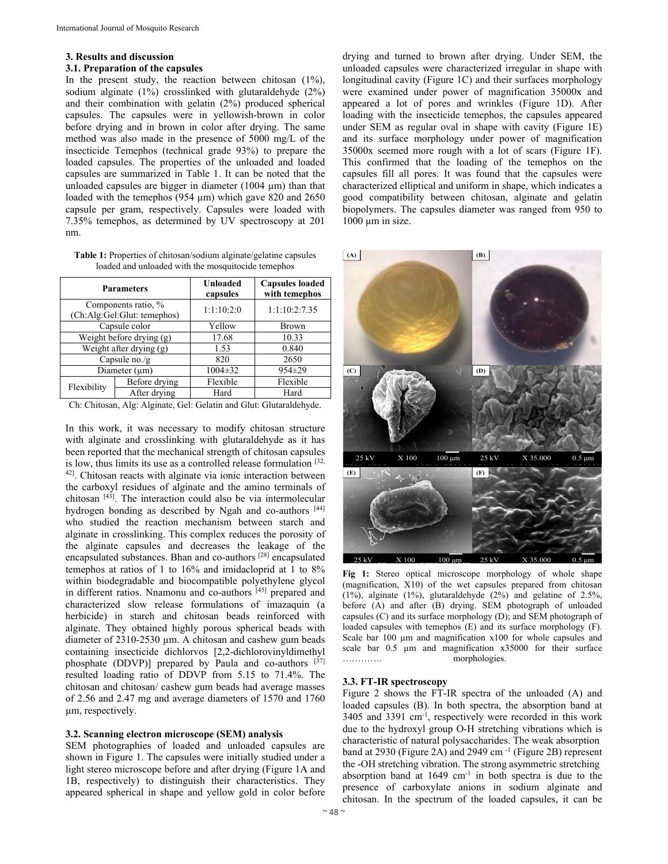#### **3. Results and discussion**

#### **3.1. Preparation of the capsules**

In the present study, the reaction between chitosan  $(1\%)$ , sodium alginate (1%) crosslinked with glutaraldehyde (2%) and their combination with gelatin (2%) produced spherical capsules. The capsules were in yellowish-brown in color before drying and in brown in color after drying. The same method was also made in the presence of 5000 mg/L of the insecticide Temephos (technical grade 93%) to prepare the loaded capsules. The properties of the unloaded and loaded capsules are summarized in Table 1. It can be noted that the unloaded capsules are bigger in diameter (1004 µm) than that loaded with the temephos (954 µm) which gave 820 and 2650 capsule per gram, respectively. Capsules were loaded with 7.35% temephos, as determined by UV spectroscopy at 201 nm.

**Table 1:** Properties of chitosan/sodium alginate/gelatine capsules loaded and unloaded with the mosquitocide temephos

| <b>Parameters</b>          |                                                    | Unloaded<br>capsules | <b>Capsules loaded</b><br>with temephos |  |
|----------------------------|----------------------------------------------------|----------------------|-----------------------------------------|--|
|                            | Components ratio, %<br>(Ch:Alg:Gel:Glut: temephos) | 1:1:10:2:0           | 1:1:10:2:7.35                           |  |
| Capsule color              |                                                    | Yellow               | Brown                                   |  |
| Weight before drying $(g)$ |                                                    | 17.68                | 10.33                                   |  |
| Weight after drying (g)    |                                                    | 1.53                 | 0.840                                   |  |
| Capsule no./g              |                                                    | 820                  | 2650                                    |  |
| Diameter (um)              |                                                    | $1004 \pm 32$        | $954 \pm 29$                            |  |
| Flexibility                | Before drying                                      | Flexible             | Flexible                                |  |
|                            | After drying                                       | Hard                 | Hard                                    |  |

Ch: Chitosan, Alg: Alginate, Gel: Gelatin and Glut: Glutaraldehyde.

In this work, it was necessary to modify chitosan structure with alginate and crosslinking with glutaraldehyde as it has been reported that the mechanical strength of chitosan capsules is low, thus limits its use as a controlled release formulation [32, 42]. Chitosan reacts with alginate via ionic interaction between the carboxyl residues of alginate and the amino terminals of chitosan  $[43]$ . The interaction could also be via intermolecular hydrogen bonding as described by Ngah and co-authors [44] who studied the reaction mechanism between starch and alginate in crosslinking. This complex reduces the porosity of the alginate capsules and decreases the leakage of the encapsulated substances. Bhan and co-authors [28] encapsulated temephos at ratios of 1 to 16% and imidacloprid at 1 to 8% within biodegradable and biocompatible polyethylene glycol in different ratios. Nnamonu and co-authors [45] prepared and characterized slow release formulations of imazaquin (a herbicide) in starch and chitosan beads reinforced with alginate. They obtained highly porous spherical beads with diameter of 2310-2530 µm. A chitosan and cashew gum beads containing insecticide dichlorvos [2,2-dichlorovinyldimethyl phosphate (DDVP)] prepared by Paula and co-authors  $[37]$ resulted loading ratio of DDVP from 5.15 to 71.4%. The chitosan and chitosan/ cashew gum beads had average masses of 2.56 and 2.47 mg and average diameters of 1570 and 1760 µm, respectively.

# **3.2. Scanning electron microscope (SEM) analysis**

SEM photographies of loaded and unloaded capsules are shown in Figure 1. The capsules were initially studied under a light stereo microscope before and after drying (Figure 1A and 1B, respectively) to distinguish their characteristics. They appeared spherical in shape and yellow gold in color before

drying and turned to brown after drying. Under SEM, the unloaded capsules were characterized irregular in shape with longitudinal cavity (Figure 1C) and their surfaces morphology were examined under power of magnification 35000x and appeared a lot of pores and wrinkles (Figure 1D). After loading with the insecticide temephos, the capsules appeared under SEM as regular oval in shape with cavity (Figure 1E) and its surface morphology under power of magnification 35000x seemed more rough with a lot of scars (Figure 1F). This confirmed that the loading of the temephos on the capsules fill all pores. It was found that the capsules were characterized elliptical and uniform in shape, which indicates a good compatibility between chitosan, alginate and gelatin biopolymers. The capsules diameter was ranged from 950 to  $1000 \mu m$  in size.



**Fig 1:** Stereo optical microscope morphology of whole shape (magnification, X10) of the wet capsules prepared from chitosan (1%), alginate (1%), glutaraldehyde (2%) and gelatine of 2.5%, before (A) and after (B) drying. SEM photograph of unloaded capsules (C) and its surface morphology (D); and SEM photograph of loaded capsules with temephos (E) and its surface morphology (F). Scale bar 100  $\mu$ m and magnification x100 for whole capsules and scale bar 0.5  $\mu$ m and magnification x35000 for their surface …………. morphologies.

#### **3.3. FT-IR spectroscopy**

Figure 2 shows the FT-IR spectra of the unloaded (A) and loaded capsules (B). In both spectra, the absorption band at  $3405$  and  $3391$  cm<sup>-1</sup>, respectively were recorded in this work due to the hydroxyl group O-H stretching vibrations which is characteristic of natural polysaccharides. The weak absorption band at 2930 (Figure 2A) and 2949 cm<sup>-1</sup> (Figure 2B) represent the -OH stretching vibration. The strong asymmetric stretching absorption band at  $1649 \text{ cm}^{-1}$  in both spectra is due to the presence of carboxylate anions in sodium alginate and chitosan. In the spectrum of the loaded capsules, it can be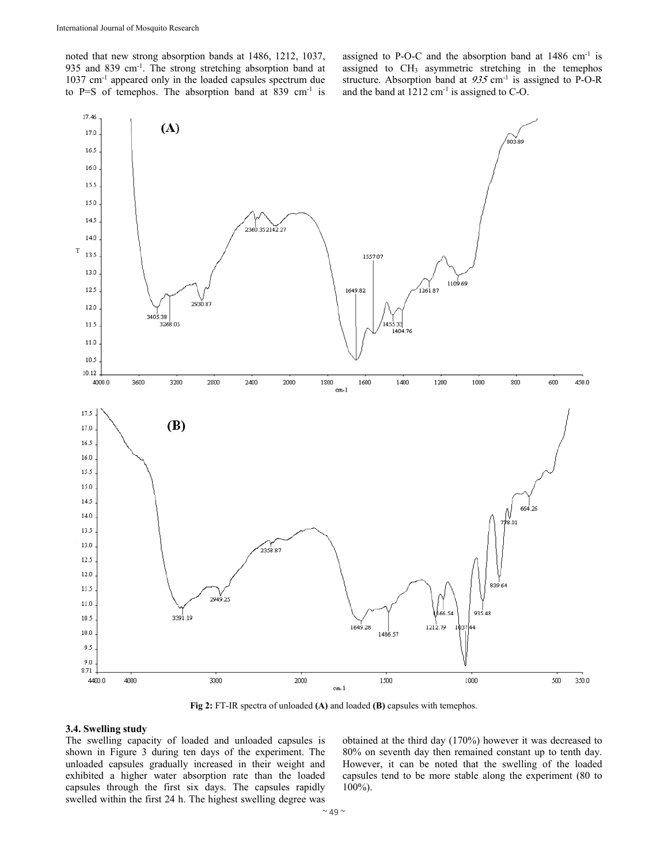noted that new strong absorption bands at 1486, 1212, 1037, 935 and 839 cm-1. The strong stretching absorption band at 1037 cm-1 appeared only in the loaded capsules spectrum due to P=S of temephos. The absorption band at 839 cm<sup>-1</sup> is assigned to P-O-C and the absorption band at  $1486 \text{ cm}^{-1}$  is assigned to CH3 asymmetric stretching in the temephos structure. Absorption band at  $935 \text{ cm}^{-1}$  is assigned to P-O-R and the band at 1212 cm-1 is assigned to C-O.



**Fig 2:** FT-IR spectra of unloaded **(A)** and loaded **(B)** capsules with temephos.

## **3.4. Swelling study**

The swelling capacity of loaded and unloaded capsules is shown in Figure 3 during ten days of the experiment. The unloaded capsules gradually increased in their weight and exhibited a higher water absorption rate than the loaded capsules through the first six days. The capsules rapidly swelled within the first 24 h. The highest swelling degree was

obtained at the third day (170%) however it was decreased to 80% on seventh day then remained constant up to tenth day. However, it can be noted that the swelling of the loaded capsules tend to be more stable along the experiment (80 to 100%).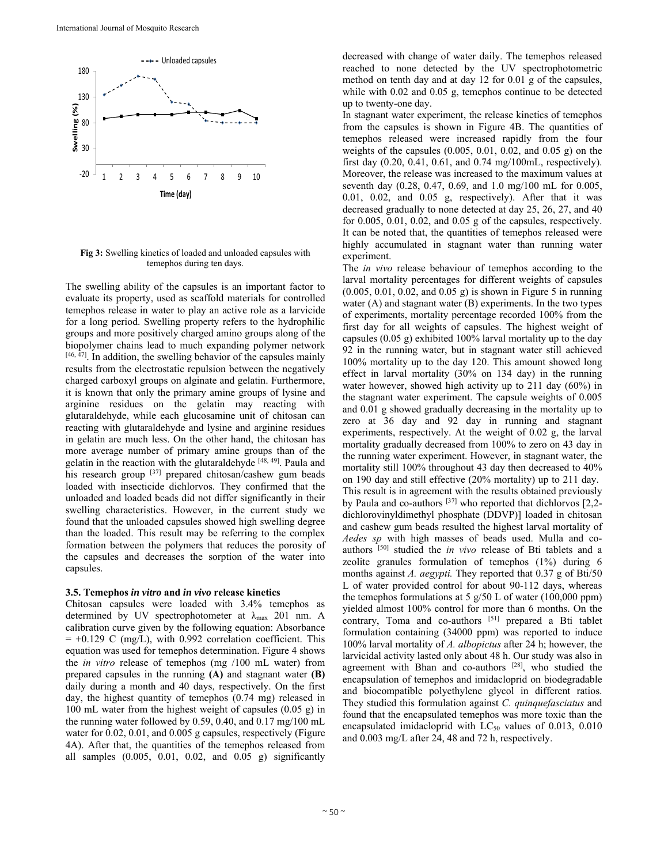

**Fig 3:** Swelling kinetics of loaded and unloaded capsules with temephos during ten days.

The swelling ability of the capsules is an important factor to evaluate its property, used as scaffold materials for controlled temephos release in water to play an active role as a larvicide for a long period. Swelling property refers to the hydrophilic groups and more positively charged amino groups along of the biopolymer chains lead to much expanding polymer network  $[46, 47]$ . In addition, the swelling behavior of the capsules mainly results from the electrostatic repulsion between the negatively charged carboxyl groups on alginate and gelatin. Furthermore, it is known that only the primary amine groups of lysine and arginine residues on the gelatin may reacting with glutaraldehyde, while each glucosamine unit of chitosan can reacting with glutaraldehyde and lysine and arginine residues in gelatin are much less. On the other hand, the chitosan has more average number of primary amine groups than of the gelatin in the reaction with the glutaraldehyde [48, 49]. Paula and his research group [37] prepared chitosan/cashew gum beads loaded with insecticide dichlorvos. They confirmed that the unloaded and loaded beads did not differ significantly in their swelling characteristics. However, in the current study we found that the unloaded capsules showed high swelling degree than the loaded. This result may be referring to the complex formation between the polymers that reduces the porosity of the capsules and decreases the sorption of the water into capsules.

## **3.5. Temephos** *in vitro* **and** *in vivo* **release kinetics**

Chitosan capsules were loaded with 3.4% temephos as determined by UV spectrophotometer at  $\lambda_{\text{max}}$  201 nm. A calibration curve given by the following equation: Absorbance  $= +0.129$  C (mg/L), with 0.992 correlation coefficient. This equation was used for temephos determination. Figure 4 shows the *in vitro* release of temephos (mg /100 mL water) from prepared capsules in the running **(A)** and stagnant water **(B)** daily during a month and 40 days, respectively. On the first day, the highest quantity of temephos (0.74 mg) released in 100 mL water from the highest weight of capsules (0.05 g) in the running water followed by 0.59, 0.40, and 0.17 mg/100 mL water for 0.02, 0.01, and 0.005 g capsules, respectively (Figure 4A). After that, the quantities of the temephos released from all samples (0.005, 0.01, 0.02, and 0.05 g) significantly decreased with change of water daily. The temephos released reached to none detected by the UV spectrophotometric method on tenth day and at day 12 for 0.01 g of the capsules, while with 0.02 and 0.05 g, temephos continue to be detected up to twenty-one day.

In stagnant water experiment, the release kinetics of temephos from the capsules is shown in Figure 4B. The quantities of temephos released were increased rapidly from the four weights of the capsules (0.005, 0.01, 0.02, and 0.05 g) on the first day (0.20, 0.41, 0.61, and 0.74 mg/100mL, respectively). Moreover, the release was increased to the maximum values at seventh day (0.28, 0.47, 0.69, and 1.0 mg/100 mL for 0.005, 0.01, 0.02, and 0.05 g, respectively). After that it was decreased gradually to none detected at day 25, 26, 27, and 40 for 0.005, 0.01, 0.02, and 0.05 g of the capsules, respectively. It can be noted that, the quantities of temephos released were highly accumulated in stagnant water than running water experiment.

The *in vivo* release behaviour of temephos according to the larval mortality percentages for different weights of capsules (0.005, 0.01, 0.02, and 0.05 g) is shown in Figure 5 in running water (A) and stagnant water (B) experiments. In the two types of experiments, mortality percentage recorded 100% from the first day for all weights of capsules. The highest weight of capsules (0.05 g) exhibited 100% larval mortality up to the day 92 in the running water, but in stagnant water still achieved 100% mortality up to the day 120. This amount showed long effect in larval mortality (30% on 134 day) in the running water however, showed high activity up to 211 day (60%) in the stagnant water experiment. The capsule weights of 0.005 and 0.01 g showed gradually decreasing in the mortality up to zero at 36 day and 92 day in running and stagnant experiments, respectively. At the weight of 0.02 g, the larval mortality gradually decreased from 100% to zero on 43 day in the running water experiment. However, in stagnant water, the mortality still 100% throughout 43 day then decreased to 40% on 190 day and still effective (20% mortality) up to 211 day. This result is in agreement with the results obtained previously by Paula and co-authors  $[37]$  who reported that dichlorvos  $[2,2$ dichlorovinyldimethyl phosphate (DDVP)] loaded in chitosan and cashew gum beads resulted the highest larval mortality of *Aedes sp* with high masses of beads used. Mulla and coauthors [50] studied the *in vivo* release of Bti tablets and a zeolite granules formulation of temephos (1%) during 6 months against *A. aegypti.* They reported that 0.37 g of Bti/50 L of water provided control for about 90-112 days, whereas the temephos formulations at  $5$  g/50 L of water (100,000 ppm) yielded almost 100% control for more than 6 months. On the contrary, Toma and co-authors  $[51]$  prepared a Bti tablet formulation containing (34000 ppm) was reported to induce 100% larval mortality of *A. albopictus* after 24 h; however, the larvicidal activity lasted only about 48 h. Our study was also in agreement with Bhan and co-authors  $[28]$ , who studied the encapsulation of temephos and imidacloprid on biodegradable and biocompatible polyethylene glycol in different ratios. They studied this formulation against *C. quinquefasciatus* and found that the encapsulated temephos was more toxic than the encapsulated imidacloprid with  $LC_{50}$  values of 0.013, 0.010 and 0.003 mg/L after 24, 48 and 72 h, respectively.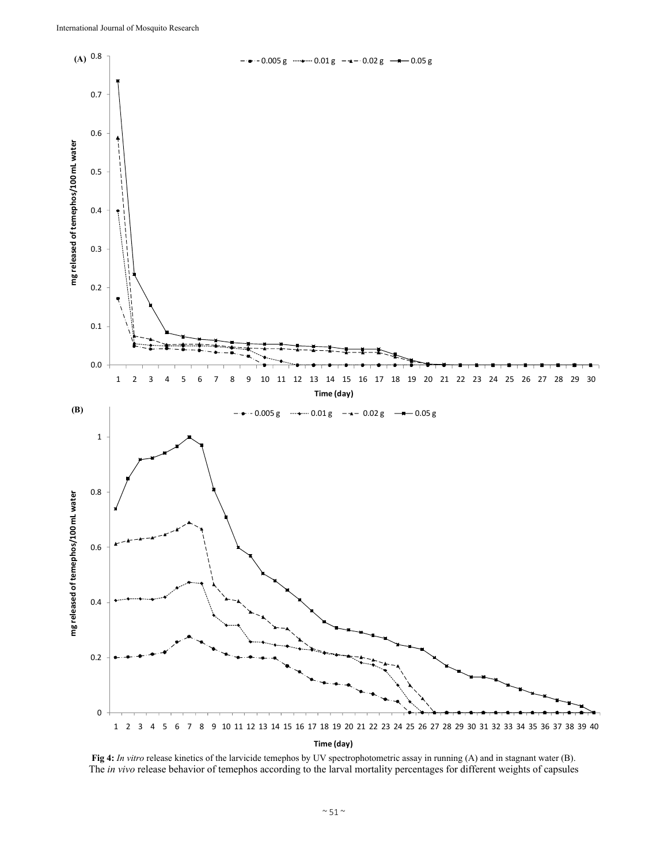

**Fig 4:** *In vitro* release kinetics of the larvicide temephos by UV spectrophotometric assay in running (A) and in stagnant water (B). The *in vivo* release behavior of temephos according to the larval mortality percentages for different weights of capsules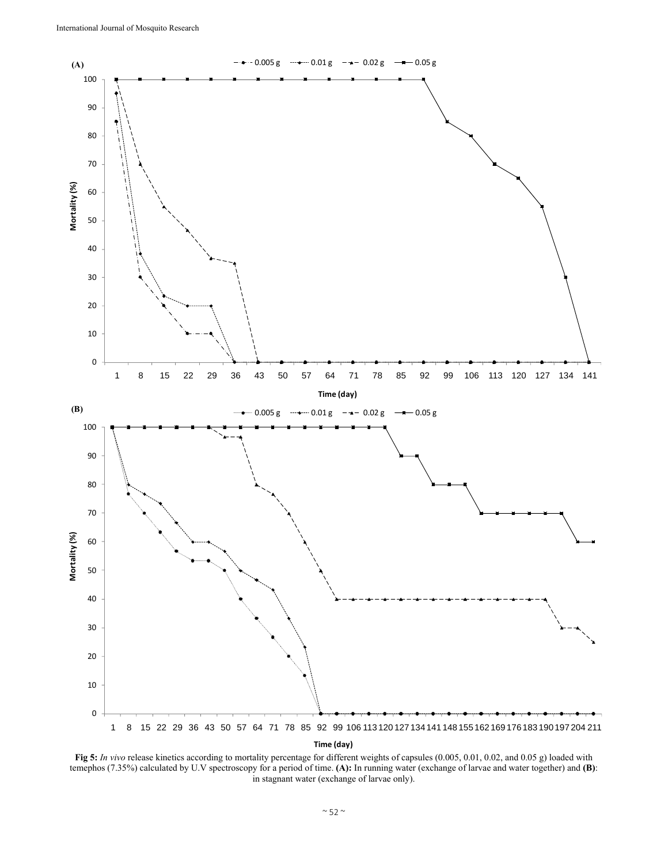

**Fig 5:** *In vivo* release kinetics according to mortality percentage for different weights of capsules (0.005, 0.01, 0.02, and 0.05 g) loaded with temephos (7.35%) calculated by U.V spectroscopy for a period of time. **(A):** In running water (exchange of larvae and water together) and **(B)**: in stagnant water (exchange of larvae only).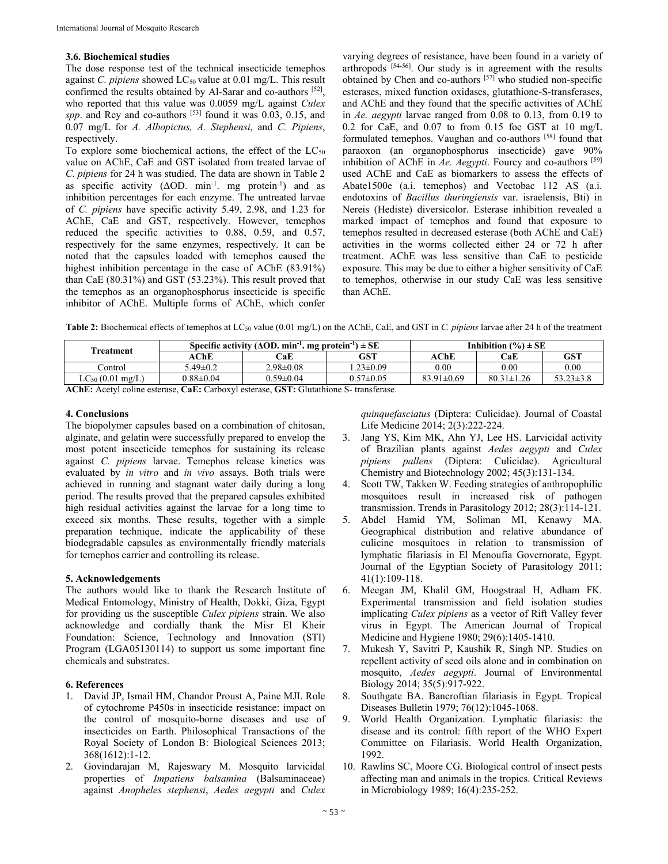# **3.6. Biochemical studies**

The dose response test of the technical insecticide temephos against *C. pipiens* showed LC<sub>50</sub> value at 0.01 mg/L. This result confirmed the results obtained by Al-Sarar and co-authors [52], who reported that this value was 0.0059 mg/L against *Culex spp*. and Rey and co-authors [53] found it was 0.03, 0.15, and 0.07 mg/L for *A. Albopictus, A. Stephensi*, and *C. Pipiens*, respectively.

To explore some biochemical actions, the effect of the  $LC_{50}$ value on AChE, CaE and GST isolated from treated larvae of *C*. *pipiens* for 24 h was studied. The data are shown in Table 2 as specific activity ( $\triangle$ OD. min<sup>-1</sup>. mg protein<sup>-1</sup>) and as inhibition percentages for each enzyme. The untreated larvae of *C. pipiens* have specific activity 5.49, 2.98, and 1.23 for AChE, CaE and GST, respectively. However, temephos reduced the specific activities to 0.88, 0.59, and 0.57, respectively for the same enzymes, respectively. It can be noted that the capsules loaded with temephos caused the highest inhibition percentage in the case of AChE (83.91%) than CaE (80.31%) and GST (53.23%). This result proved that the temephos as an organophosphorus insecticide is specific inhibitor of AChE. Multiple forms of AChE, which confer varying degrees of resistance, have been found in a variety of arthropods [54-56]. Our study is in agreement with the results obtained by Chen and co-authors  $[57]$  who studied non-specific esterases, mixed function oxidases, glutathione-S-transferases, and AChE and they found that the specific activities of AChE in *Ae. aegypti* larvae ranged from 0.08 to 0.13, from 0.19 to 0.2 for CaE, and 0.07 to from 0.15 foe GST at 10 mg/L formulated temephos. Vaughan and co-authors [58] found that paraoxon (an organophosphorus insecticide) gave 90% inhibition of AChE in  $Ae$ . Aegypti. Fourcy and co-authors <sup>[59]</sup> used AChE and CaE as biomarkers to assess the effects of Abate1500e (a.i. temephos) and Vectobac 112 AS (a.i. endotoxins of *Bacillus thuringiensis* var. israelensis, Bti) in Nereis (Hediste) diversicolor. Esterase inhibition revealed a marked impact of temephos and found that exposure to temephos resulted in decreased esterase (both AChE and CaE) activities in the worms collected either 24 or 72 h after treatment. AChE was less sensitive than CaE to pesticide exposure. This may be due to either a higher sensitivity of CaE to temephos, otherwise in our study CaE was less sensitive than AChE.

**Table 2:** Biochemical effects of temephos at LC50 value (0.01 mg/L) on the AChE, CaE, and GST in *C. pipiens* larvae after 24 h of the treatment

| Treatment                                                                            | Specific activity ( $\triangle$ OD, min <sup>-1</sup> , mg protein <sup>-1</sup> ) $\pm$ SE |                 |                 | Inhibition $(\% ) \pm SE$ |                  |                 |  |  |
|--------------------------------------------------------------------------------------|---------------------------------------------------------------------------------------------|-----------------|-----------------|---------------------------|------------------|-----------------|--|--|
|                                                                                      | AChE                                                                                        | CaE             | GST             | AChE                      | CaE              | GST             |  |  |
| Control                                                                              | $5.49 \pm 0.2$                                                                              | $2.98 \pm 0.08$ | $1.23 \pm 0.09$ | $0.00\,$                  | $0.00\,$         | 0.00            |  |  |
| $LC_{50}$ (0.01 mg/L)                                                                | $0.88 \pm 0.04$                                                                             | $0.59 \pm 0.04$ | $0.57 \pm 0.05$ | $83.91 \pm 0.69$          | $80.31 \pm 1.26$ | $53.23 \pm 3.8$ |  |  |
| ACLE: Agated aglices activists CaFi Carbonel activists CST: Clutchiana C transferred |                                                                                             |                 |                 |                           |                  |                 |  |  |

**AChE:** Acetyl coline esterase, **CaE:** Carboxyl esterase, **GST:** Glutathione S- transferase.

# **4. Conclusions**

The biopolymer capsules based on a combination of chitosan, alginate, and gelatin were successfully prepared to envelop the most potent insecticide temephos for sustaining its release against *C. pipiens* larvae. Temephos release kinetics was evaluated by *in vitro* and *in vivo* assays. Both trials were achieved in running and stagnant water daily during a long period. The results proved that the prepared capsules exhibited high residual activities against the larvae for a long time to exceed six months. These results, together with a simple preparation technique, indicate the applicability of these biodegradable capsules as environmentally friendly materials for temephos carrier and controlling its release.

# **5. Acknowledgements**

The authors would like to thank the Research Institute of Medical Entomology, Ministry of Health, Dokki, Giza, Egypt for providing us the susceptible *Culex pipiens* strain. We also acknowledge and cordially thank the Misr El Kheir Foundation: Science, Technology and Innovation (STI) Program (LGA05130114) to support us some important fine chemicals and substrates.

# **6. References**

- 1. David JP, Ismail HM, Chandor Proust A, Paine MJI. Role of cytochrome P450s in insecticide resistance: impact on the control of mosquito-borne diseases and use of insecticides on Earth. Philosophical Transactions of the Royal Society of London B: Biological Sciences 2013; 368(1612):1-12.
- 2. Govindarajan M, Rajeswary M. Mosquito larvicidal properties of *Impatiens balsamina* (Balsaminaceae) against *Anopheles stephensi*, *Aedes aegypti* and *Culex*

*quinquefasciatus* (Diptera: Culicidae). Journal of Coastal Life Medicine 2014; 2(3):222-224.

- 3. Jang YS, Kim MK, Ahn YJ, Lee HS. Larvicidal activity of Brazilian plants against *Aedes aegypti* and *Culex pipiens pallens* (Diptera: Culicidae). Agricultural Chemistry and Biotechnology 2002; 45(3):131-134.
- 4. Scott TW, Takken W. Feeding strategies of anthropophilic mosquitoes result in increased risk of pathogen transmission. Trends in Parasitology 2012; 28(3):114-121.
- 5. Abdel Hamid YM, Soliman MI, Kenawy MA. Geographical distribution and relative abundance of culicine mosquitoes in relation to transmission of lymphatic filariasis in El Menoufia Governorate, Egypt. Journal of the Egyptian Society of Parasitology 2011; 41(1):109-118.
- 6. Meegan JM, Khalil GM, Hoogstraal H, Adham FK. Experimental transmission and field isolation studies implicating *Culex pipiens* as a vector of Rift Valley fever virus in Egypt. The American Journal of Tropical Medicine and Hygiene 1980; 29(6):1405-1410.
- 7. Mukesh Y, Savitri P, Kaushik R, Singh NP. Studies on repellent activity of seed oils alone and in combination on mosquito, *Aedes aegypti*. Journal of Environmental Biology 2014; 35(5):917-922.
- 8. Southgate BA. Bancroftian filariasis in Egypt. Tropical Diseases Bulletin 1979; 76(12):1045-1068.
- 9. World Health Organization. Lymphatic filariasis: the disease and its control: fifth report of the WHO Expert Committee on Filariasis. World Health Organization, 1992.
- 10. Rawlins SC, Moore CG. Biological control of insect pests affecting man and animals in the tropics. Critical Reviews in Microbiology 1989; 16(4):235-252.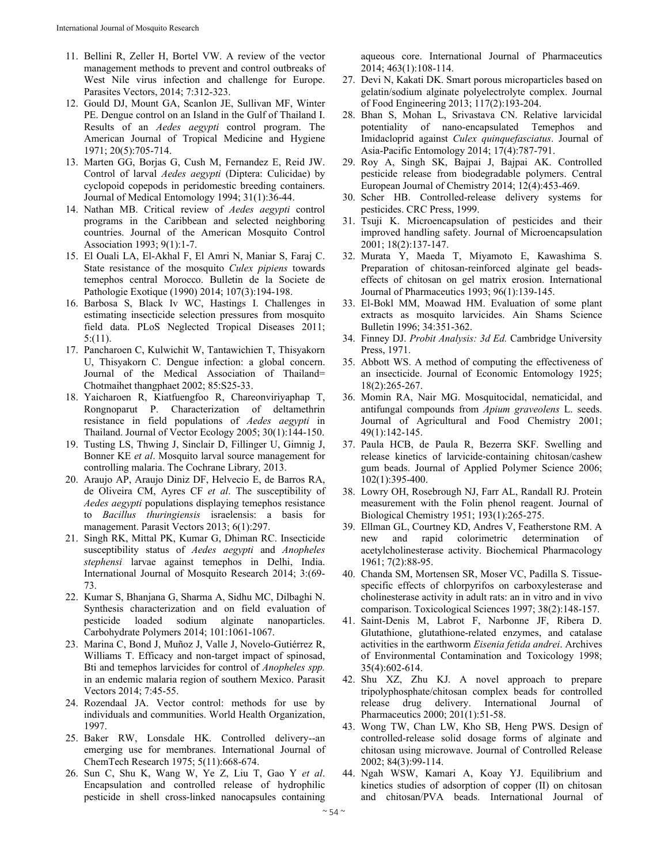- 11. Bellini R, Zeller H, Bortel VW. A review of the vector management methods to prevent and control outbreaks of West Nile virus infection and challenge for Europe. Parasites Vectors, 2014; 7:312-323.
- 12. Gould DJ, Mount GA, Scanlon JE, Sullivan MF, Winter PE. Dengue control on an Island in the Gulf of Thailand I. Results of an *Aedes aegypti* control program. The American Journal of Tropical Medicine and Hygiene 1971; 20(5):705-714.
- 13. Marten GG, Borjas G, Cush M, Fernandez E, Reid JW. Control of larval *Aedes aegypti* (Diptera: Culicidae) by cyclopoid copepods in peridomestic breeding containers. Journal of Medical Entomology 1994; 31(1):36-44.
- 14. Nathan MB. Critical review of *Aedes aegypti* control programs in the Caribbean and selected neighboring countries. Journal of the American Mosquito Control Association 1993; 9(1):1-7.
- 15. El Ouali LA, El-Akhal F, El Amri N, Maniar S, Faraj C. State resistance of the mosquito *Culex pipiens* towards temephos central Morocco. Bulletin de la Societe de Pathologie Exotique (1990) 2014; 107(3):194-198.
- 16. Barbosa S, Black Iv WC, Hastings I. Challenges in estimating insecticide selection pressures from mosquito field data. PLoS Neglected Tropical Diseases 2011; 5:(11).
- 17. Pancharoen C, Kulwichit W, Tantawichien T, Thisyakorn U, Thisyakorn C. Dengue infection: a global concern. Journal of the Medical Association of Thailand= Chotmaihet thangphaet 2002; 85:S25-33.
- 18. Yaicharoen R, Kiatfuengfoo R, Chareonviriyaphap T, Rongnoparut P. Characterization of deltamethrin resistance in field populations of *Aedes aegypti* in Thailand. Journal of Vector Ecology 2005; 30(1):144-150.
- 19. Tusting LS, Thwing J, Sinclair D, Fillinger U, Gimnig J, Bonner KE *et al*. Mosquito larval source management for controlling malaria. The Cochrane Library*,* 2013.
- 20. Araujo AP, Araujo Diniz DF, Helvecio E, de Barros RA, de Oliveira CM, Ayres CF *et al*. The susceptibility of *Aedes aegypti* populations displaying temephos resistance to *Bacillus thuringiensis* israelensis: a basis for management. Parasit Vectors 2013; 6(1):297.
- 21. Singh RK, Mittal PK, Kumar G, Dhiman RC. Insecticide susceptibility status of *Aedes aegypti* and *Anopheles stephensi* larvae against temephos in Delhi, India. International Journal of Mosquito Research 2014; 3:(69- 73.
- 22. Kumar S, Bhanjana G, Sharma A, Sidhu MC, Dilbaghi N. Synthesis characterization and on field evaluation of pesticide loaded sodium alginate nanoparticles. Carbohydrate Polymers 2014; 101:1061-1067.
- 23. Marina C, Bond J, Muñoz J, Valle J, Novelo-Gutiérrez R, Williams T. Efficacy and non-target impact of spinosad, Bti and temephos larvicides for control of *Anopheles spp.* in an endemic malaria region of southern Mexico. Parasit Vectors 2014; 7:45-55.
- 24. Rozendaal JA. Vector control: methods for use by individuals and communities. World Health Organization, 1997.
- 25. Baker RW, Lonsdale HK. Controlled delivery--an emerging use for membranes. International Journal of ChemTech Research 1975; 5(11):668-674.
- 26. Sun C, Shu K, Wang W, Ye Z, Liu T, Gao Y *et al*. Encapsulation and controlled release of hydrophilic pesticide in shell cross-linked nanocapsules containing

aqueous core. International Journal of Pharmaceutics 2014; 463(1):108-114.

- 27. Devi N, Kakati DK. Smart porous microparticles based on gelatin/sodium alginate polyelectrolyte complex. Journal of Food Engineering 2013; 117(2):193-204.
- 28. Bhan S, Mohan L, Srivastava CN. Relative larvicidal potentiality of nano-encapsulated Temephos and Imidacloprid against *Culex quinquefasciatus*. Journal of Asia-Pacific Entomology 2014; 17(4):787-791.
- 29. Roy A, Singh SK, Bajpai J, Bajpai AK. Controlled pesticide release from biodegradable polymers. Central European Journal of Chemistry 2014; 12(4):453-469.
- 30. Scher HB. Controlled-release delivery systems for pesticides. CRC Press, 1999.
- 31. Tsuji K. Microencapsulation of pesticides and their improved handling safety. Journal of Microencapsulation 2001; 18(2):137-147.
- 32. Murata Y, Maeda T, Miyamoto E, Kawashima S. Preparation of chitosan-reinforced alginate gel beadseffects of chitosan on gel matrix erosion. International Journal of Pharmaceutics 1993; 96(1):139-145.
- 33. El-Bokl MM, Moawad HM. Evaluation of some plant extracts as mosquito larvicides. Ain Shams Science Bulletin 1996; 34:351-362.
- 34. Finney DJ. *Probit Analysis: 3d Ed.* Cambridge University Press, 1971.
- 35. Abbott WS. A method of computing the effectiveness of an insecticide. Journal of Economic Entomology 1925; 18(2):265-267.
- 36. Momin RA, Nair MG. Mosquitocidal, nematicidal, and antifungal compounds from *Apium graveolens* L. seeds. Journal of Agricultural and Food Chemistry 2001; 49(1):142-145.
- 37. Paula HCB, de Paula R, Bezerra SKF. Swelling and release kinetics of larvicide‐containing chitosan/cashew gum beads. Journal of Applied Polymer Science 2006; 102(1):395-400.
- 38. Lowry OH, Rosebrough NJ, Farr AL, Randall RJ. Protein measurement with the Folin phenol reagent. Journal of Biological Chemistry 1951; 193(1):265-275.
- 39. Ellman GL, Courtney KD, Andres V, Featherstone RM. A new and rapid colorimetric determination of acetylcholinesterase activity. Biochemical Pharmacology 1961; 7(2):88-95.
- 40. Chanda SM, Mortensen SR, Moser VC, Padilla S. Tissuespecific effects of chlorpyrifos on carboxylesterase and cholinesterase activity in adult rats: an in vitro and in vivo comparison. Toxicological Sciences 1997; 38(2):148-157.
- 41. Saint-Denis M, Labrot F, Narbonne JF, Ribera D. Glutathione, glutathione-related enzymes, and catalase activities in the earthworm *Eisenia fetida andrei*. Archives of Environmental Contamination and Toxicology 1998; 35(4):602-614.
- 42. Shu XZ, Zhu KJ. A novel approach to prepare tripolyphosphate/chitosan complex beads for controlled release drug delivery. International Journal Pharmaceutics 2000; 201(1):51-58.
- 43. Wong TW, Chan LW, Kho SB, Heng PWS. Design of controlled-release solid dosage forms of alginate and chitosan using microwave. Journal of Controlled Release 2002; 84(3):99-114.
- 44. Ngah WSW, Kamari A, Koay YJ. Equilibrium and kinetics studies of adsorption of copper (II) on chitosan and chitosan/PVA beads. International Journal of